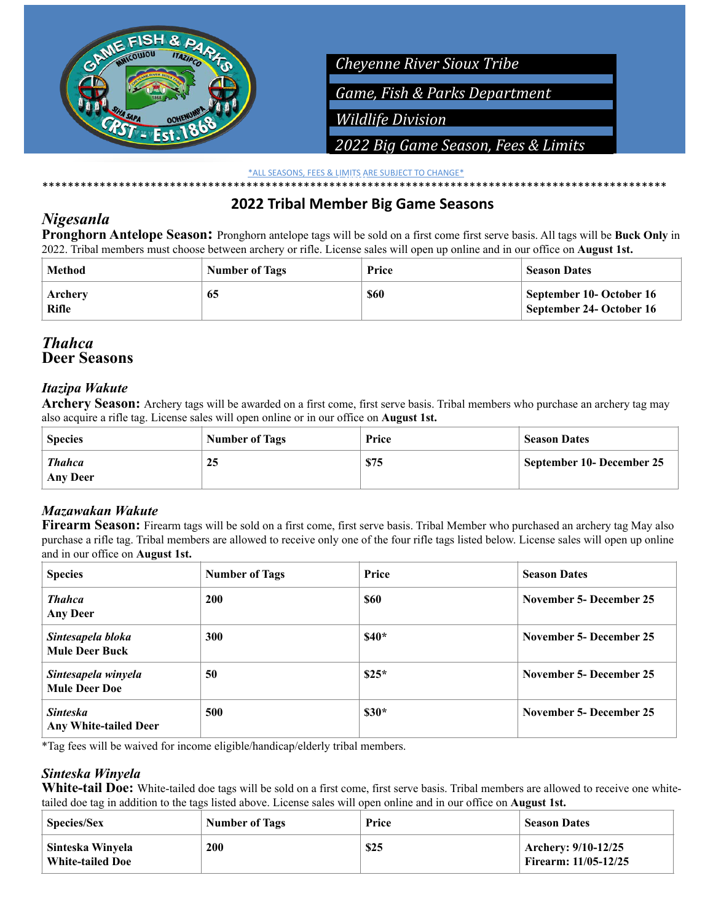

*Limit* \*ALL SEASONS, FEES & LIMITS ARE SUBJECT TO CHANGE\* \*\*\*\*\*\*\*\*\*\*\*\*\*\*\*\*\*\*\*\*\*\*\*\*\*\*\*\*\*\*\*\*\*\*\*\*\*\*\*\*\*\*\*\*\*\*\*\*\*\*\*\*\*\*\*\*\*\*\*\*\*\*\*\*\*\*\*\*\*\*\*\*\*\*\*\*\*\*\*\*\*\*\*\*\*\*\*\*\*\*\*\*\*\*\*\*\*\*

# **2022 Tribal Member Big Game Seasons**

## *Nigesanla*

**Pronghorn Antelope Season:** Pronghorn antelope tags will be sold on a first come first serve basis. All tags will be **Buck Only** in 2022. Tribal members must choose between archery or rifle. License sales will open up online and in our office on **August 1st.**

| Method                  | <b>Number of Tags</b> | Price       | <b>Season Dates</b>                                  |
|-------------------------|-----------------------|-------------|------------------------------------------------------|
| Archery<br><b>Rifle</b> | 65                    | <b>\$60</b> | September 10- October 16<br>September 24- October 16 |

### *Thahca* **Deer Seasons**

## *Itazipa Wakute*

**Archery Season:** Archery tags will be awarded on a first come, first serve basis. Tribal members who purchase an archery tag may also acquire a rifle tag. License sales will open online or in our office on **August 1st.**

| <b>Species</b>                   | <b>Number of Tags</b> | Price | <b>Season Dates</b>       |
|----------------------------------|-----------------------|-------|---------------------------|
| <b>Thahca</b><br><b>Any Deer</b> | 25                    | \$75  | September 10- December 25 |

### *Mazawakan Wakute*

**Firearm Season:** Firearm tags will be sold on a first come, first serve basis. Tribal Member who purchased an archery tag May also purchase a rifle tag. Tribal members are allowed to receive only one of the four rifle tags listed below. License sales will open up online and in our office on **August 1st.**

| <b>Species</b>                              | <b>Number of Tags</b> | Price   | <b>Season Dates</b>     |
|---------------------------------------------|-----------------------|---------|-------------------------|
| <b>Thahca</b><br><b>Any Deer</b>            | <b>200</b>            | \$60    | November 5- December 25 |
| Sintesapela bloka<br><b>Mule Deer Buck</b>  | 300                   | $$40*$  | November 5- December 25 |
| Sintesapela winyela<br><b>Mule Deer Doe</b> | 50                    | $$25*$  | November 5- December 25 |
| <b>Sinteska</b><br>Any White-tailed Deer    | 500                   | $\$30*$ | November 5- December 25 |

\*Tag fees will be waived for income eligible/handicap/elderly tribal members.

### *Sinteska Winyela*

**White-tail Doe:** White-tailed doe tags will be sold on a first come, first serve basis. Tribal members are allowed to receive one whitetailed doe tag in addition to the tags listed above. License sales will open online and in our office on **August 1st.**

| <b>Species/Sex</b>                          | Number of Tags | Price | <b>Season Dates</b>                                |
|---------------------------------------------|----------------|-------|----------------------------------------------------|
| Sinteska Winyela<br><b>White-tailed Doe</b> | 200            | \$25  | Archery: 9/10-12/25<br><b>Firearm: 11/05-12/25</b> |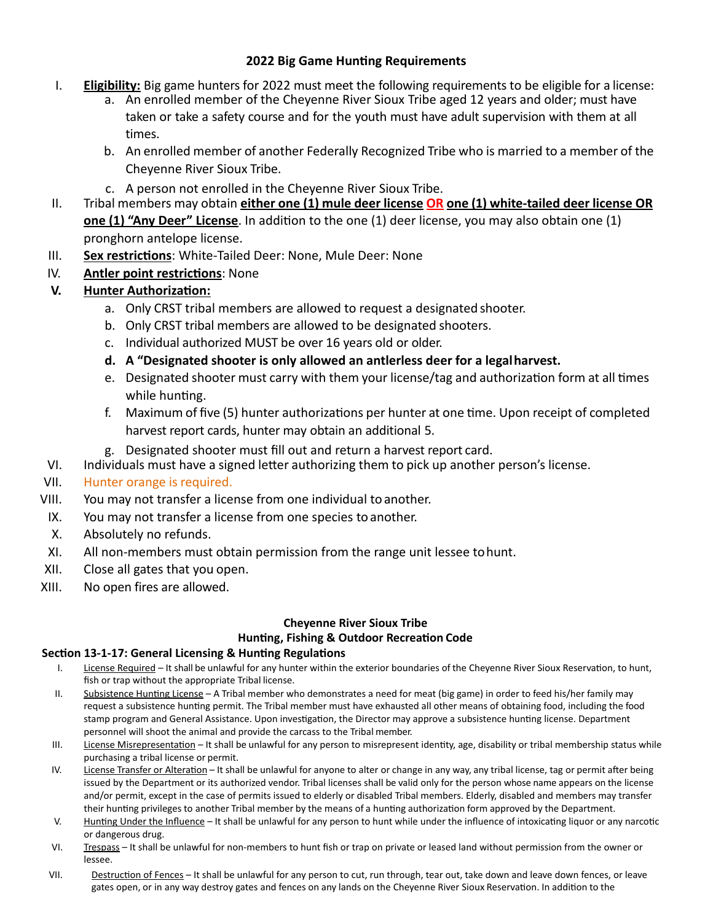### **2022 Big Game Hunting Requirements**

- I. **Eligibility:** Big game hunters for 2022 must meet the following requirements to be eligible for a license:
	- a. An enrolled member of the Cheyenne River Sioux Tribe aged 12 years and older; must have taken or take a safety course and for the youth must have adult supervision with them at all times.
	- b. An enrolled member of another Federally Recognized Tribe who is married to a member of the Cheyenne River Sioux Tribe.
	- c. A person not enrolled in the Cheyenne River Sioux Tribe.
- II. Tribal members may obtain **either one (1) mule deer license OR one (1) white-tailed deer license OR one (1) "Any Deer" License**. In addition to the one (1) deer license, you may also obtain one (1) pronghorn antelope license.
- III. **Sex restrictions**: White-Tailed Deer: None, Mule Deer: None
- IV. **Antler point restrictions**: None

### **V. Hunter Authorization:**

- a. Only CRST tribal members are allowed to request a designated shooter.
- b. Only CRST tribal members are allowed to be designated shooters.
- c. Individual authorized MUST be over 16 years old or older.
- **d. A "Designated shooter is only allowed an antlerless deer for a legalharvest.**
- e. Designated shooter must carry with them your license/tag and authorization form at all times while hunting.
- f. Maximum of five (5) hunter authorizations per hunter at one time. Upon receipt of completed harvest report cards, hunter may obtain an additional 5.
- g. Designated shooter must fill out and return a harvest report card.
- VI. Individuals must have a signed letter authorizing them to pick up another person's license.
- VII. Hunter orange is required.
- VIII. You may not transfer a license from one individual to another.
- IX. You may not transfer a license from one species to another.
- X. Absolutely no refunds.
- XI. All non-members must obtain permission from the range unit lessee tohunt.
- XII. Close all gates that you open.
- XIII. No open fires are allowed.

### **Cheyenne River Sioux Tribe Hunting, Fishing & Outdoor Recreation Code**

#### **Section 13-1-17: General Licensing & Hunting Regulations**

- I. License Required It shall be unlawful for any hunter within the exterior boundaries of the Cheyenne River Sioux Reservation, to hunt, fish or trap without the appropriate Tribal license.
- II. Subsistence Hunting License A Tribal member who demonstrates a need for meat (big game) in order to feed his/her family may request a subsistence hunting permit. The Tribal member must have exhausted all other means of obtaining food, including the food stamp program and General Assistance. Upon investigation, the Director may approve a subsistence hunting license. Department personnel will shoot the animal and provide the carcass to the Tribal member.
- III. License Misrepresentation It shall be unlawful for any person to misrepresent identity, age, disability or tribal membership status while purchasing a tribal license or permit.
- IV. License Transfer or Alteration It shall be unlawful for anyone to alter or change in any way, any tribal license, tag or permit after being issued by the Department or its authorized vendor. Tribal licenses shall be valid only for the person whose name appears on the license and/or permit, except in the case of permits issued to elderly or disabled Tribal members. Elderly, disabled and members may transfer their hunting privileges to another Tribal member by the means of a hunting authorization form approved by the Department.
- V. Hunting Under the Influence It shall be unlawful for any person to hunt while under the influence of intoxicating liquor or any narcotic or dangerous drug.
- VI. Trespass It shall be unlawful for non-members to hunt fish or trap on private or leased land without permission from the owner or lessee.
- VII. Destruction of Fences It shall be unlawful for any person to cut, run through, tear out, take down and leave down fences, or leave gates open, or in any way destroy gates and fences on any lands on the Cheyenne River Sioux Reservation. In addition to the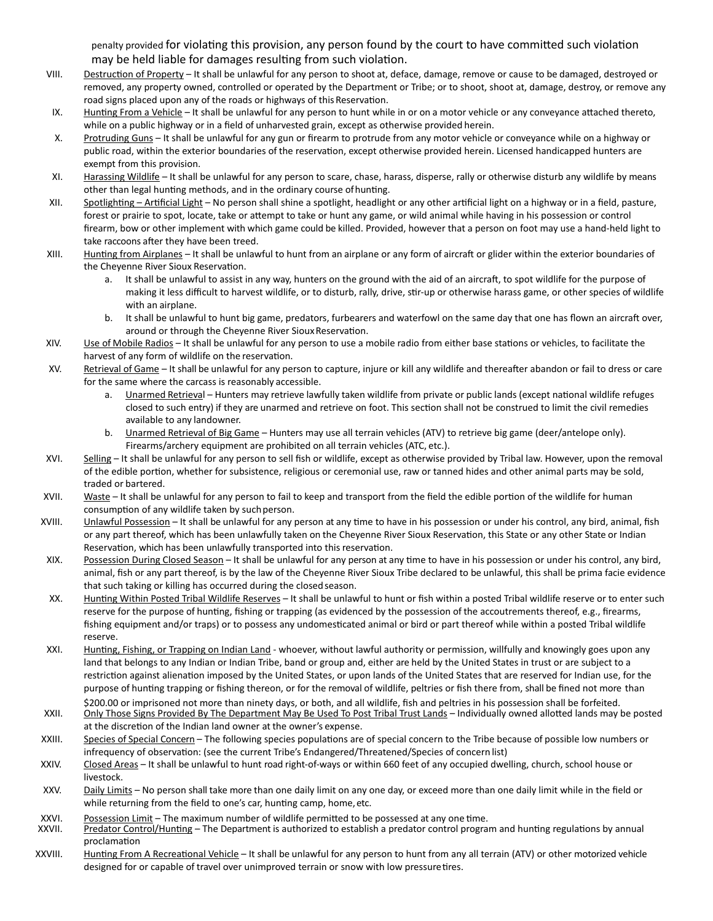penalty provided for violating this provision, any person found by the court to have committed such violation may be held liable for damages resulting from such violation.

- VIII. Destruction of Property It shall be unlawful for any person to shoot at, deface, damage, remove or cause to be damaged, destroyed or removed, any property owned, controlled or operated by the Department or Tribe; or to shoot, shoot at, damage, destroy, or remove any road signs placed upon any of the roads or highways of this Reservation.
- IX. Hunting From a Vehicle It shall be unlawful for any person to hunt while in or on a motor vehicle or any conveyance attached thereto, while on a public highway or in a field of unharvested grain, except as otherwise provided herein.
- X. Protruding Guns It shall be unlawful for any gun or firearm to protrude from any motor vehicle or conveyance while on a highway or public road, within the exterior boundaries of the reservation, except otherwise provided herein. Licensed handicapped hunters are exempt from this provision.
- XI. Harassing Wildlife It shall be unlawful for any person to scare, chase, harass, disperse, rally or otherwise disturb any wildlife by means other than legal hunting methods, and in the ordinary course ofhunting.
- XII. Spotlighting Artificial Light No person shall shine a spotlight, headlight or any other artificial light on a highway or in a field, pasture, forest or prairie to spot, locate, take or attempt to take or hunt any game, or wild animal while having in his possession or control firearm, bow or other implement with which game could be killed. Provided, however that a person on foot may use a hand-held light to take raccoons after they have been treed.
- XIII. Hunting from Airplanes It shall be unlawful to hunt from an airplane or any form of aircraft or glider within the exterior boundaries of the Cheyenne River Sioux Reservation.
	- a. It shall be unlawful to assist in any way, hunters on the ground with the aid of an aircraft, to spot wildlife for the purpose of making it less difficult to harvest wildlife, or to disturb, rally, drive, stir-up or otherwise harass game, or other species of wildlife with an airplane.
	- b. It shall be unlawful to hunt big game, predators, furbearers and waterfowl on the same day that one has flown an aircraft over, around or through the Cheyenne River Sioux Reservation.
- XIV. Use of Mobile Radios It shall be unlawful for any person to use a mobile radio from either base stations or vehicles, to facilitate the harvest of any form of wildlife on the reservation.
- XV. Retrieval of Game It shall be unlawful for any person to capture, injure or kill any wildlife and thereafter abandon or fail to dress or care for the same where the carcass is reasonably accessible.
	- a. **Unarmed Retrieval Hunters may retrieve lawfully taken wildlife from private or public lands (except national wildlife refuges** closed to such entry) if they are unarmed and retrieve on foot. This section shall not be construed to limit the civil remedies available to any landowner.
	- b. Unarmed Retrieval of Big Game Hunters may use all terrain vehicles (ATV) to retrieve big game (deer/antelope only). Firearms/archery equipment are prohibited on all terrain vehicles (ATC, etc.).
- XVI. Selling It shall be unlawful for any person to sell fish or wildlife, except as otherwise provided by Tribal law. However, upon the removal of the edible portion, whether for subsistence, religious or ceremonial use, raw or tanned hides and other animal parts may be sold, traded or bartered.
- XVII. Waste It shall be unlawful for any person to fail to keep and transport from the field the edible portion of the wildlife for human consumption of any wildlife taken by such person.
- XVIII. Unlawful Possession It shall be unlawful for any person at any time to have in his possession or under his control, any bird, animal, fish or any part thereof, which has been unlawfully taken on the Cheyenne River Sioux Reservation, this State or any other State or Indian Reservation, which has been unlawfully transported into this reservation.
- XIX. Possession During Closed Season It shall be unlawful for any person at any time to have in his possession or under his control, any bird, animal, fish or any part thereof, is by the law of the Cheyenne River Sioux Tribe declared to be unlawful, this shall be prima facie evidence that such taking or killing has occurred during the closed season.
- XX. Hunting Within Posted Tribal Wildlife Reserves It shall be unlawful to hunt or fish within a posted Tribal wildlife reserve or to enter such reserve for the purpose of hunting, fishing or trapping (as evidenced by the possession of the accoutrements thereof, e.g., firearms, fishing equipment and/or traps) or to possess any undomesticated animal or bird or part thereof while within a posted Tribal wildlife reserve.
- XXI. Hunting, Fishing, or Trapping on Indian Land whoever, without lawful authority or permission, willfully and knowingly goes upon any land that belongs to any Indian or Indian Tribe, band or group and, either are held by the United States in trust or are subject to a restriction against alienation imposed by the United States, or upon lands of the United States that are reserved for Indian use, for the purpose of hunting trapping or fishing thereon, or for the removal of wildlife, peltries or fish there from, shall be fined not more than
- \$200.00 or imprisoned not more than ninety days, or both, and all wildlife, fish and peltries in his possession shall be forfeited. XXII. Only Those Signs Provided By The Department May Be Used To Post Tribal Trust Lands - Individually owned allotted lands may be posted at the discretion of the Indian land owner at the owner's expense.
- XXIII. Species of Special Concern The following species populations are of special concern to the Tribe because of possible low numbers or infrequency of observation: (see the current Tribe's Endangered/Threatened/Species of concern list)
- XXIV. Closed Areas It shall be unlawful to hunt road right-of-ways or within 660 feet of any occupied dwelling, church, school house or livestock.
- XXV. Daily Limits No person shall take more than one daily limit on any one day, or exceed more than one daily limit while in the field or while returning from the field to one's car, hunting camp, home, etc.
- 
- XXVI. Possession Limit The maximum number of wildlife permitted to be possessed at any one time.<br>XXVII. Predator Control/Hunting The Department is authorized to establish a predator control program and hunting regulati proclamation
- XXVIII. Hunting From A Recreational Vehicle It shall be unlawful for any person to hunt from any all terrain (ATV) or other motorized vehicle designed for or capable of travel over unimproved terrain or snow with low pressuretires.